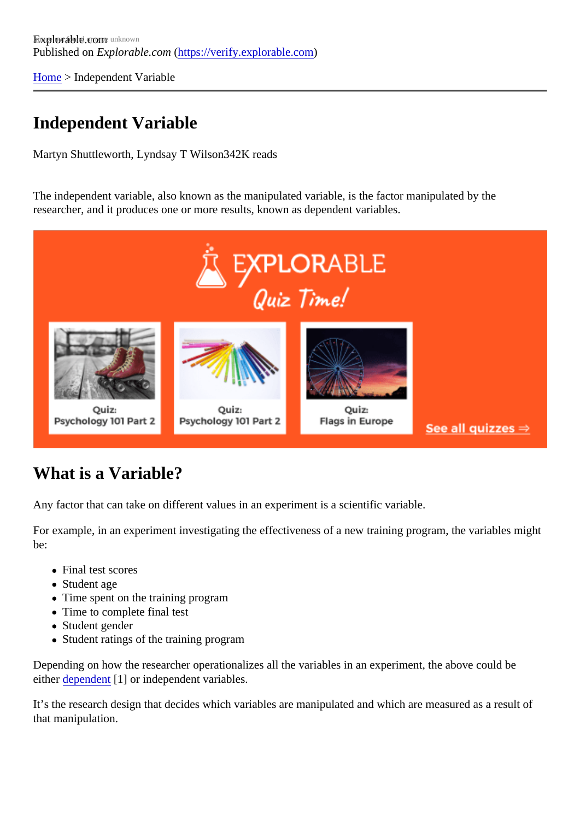[Home](https://verify.explorable.com/) > Independent Variable

## Independent Variable

Martyn Shuttleworth, Lyndsay T Wils<sup>342K</sup> reads

The independent variable, also known as the manipulated variable, factor manipulated by the researcher, and it produces one or more results, knowlepens dent variables.

## What is a Variable?

Any factor that can take on different values in an experiment is a scientific variable.

For example, in an experiment investigating the effectiveness of a new training program, the variables might be:

- Final test scores
- Student age
- Time spent on the training program
- Time to complete final test
- Student gender
- Student ratings of the training program

Depending on how the researcher operationalizes all the variables in an experiment, the above could be eithe[r dependen](https://explorable.com/dependent-variable)t<sup>1</sup>] or independent variables.

It's the research design that decides which variables are manipulated and which are measured as a result that manipulation.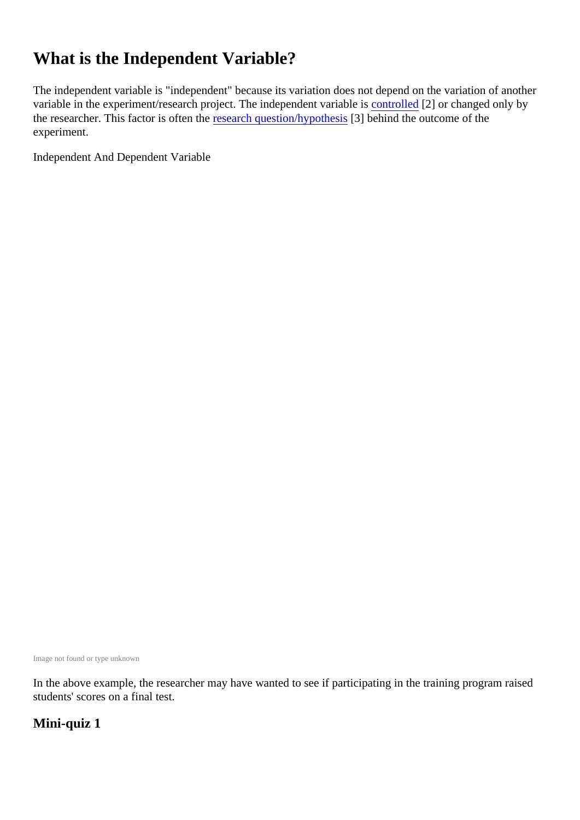# What is the Independent Variable?

The independent variable is "independent" because its variation does not depend on the variation of anoth variable in the experiment/research project. The independent variable is led[2] or changed only by the researcher. This factor is often the earch question/hypothe<sup>33</sup> behind the outcome of the experiment.

Independent And Dependent Variable

Image not found or type unknown

In the above example, the researcher may have wanted to see if participating in the training program raise students' scores on a final test.

Mini-quiz 1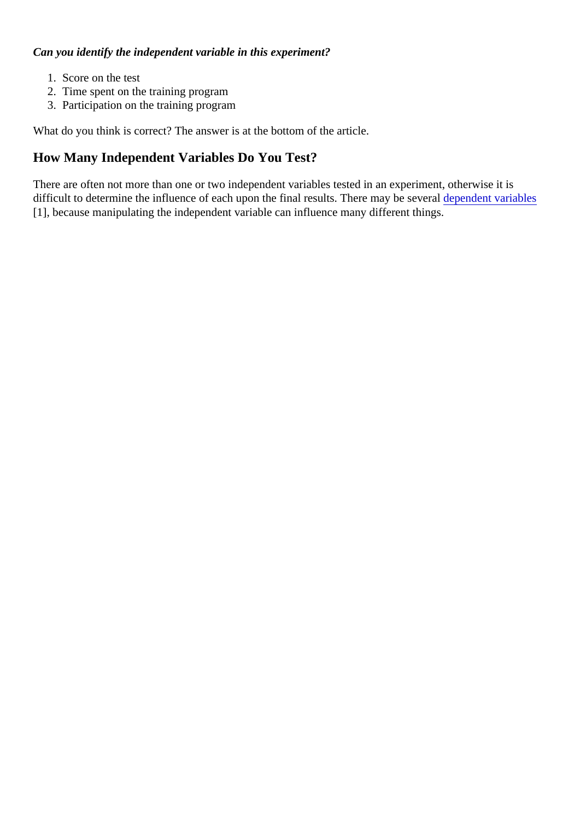Can you identify the independent variable in this experiment?

- 1. Score on the test
- 2. Time spent on the training program
- 3. Participation on the training program

What do you think is correct? The answer is at the bottom of the article.

How Many Independent Variables Do You Test?

There are often not more than one or two independent variables tested in an experiment, otherwise it is difficult to determine the influence of each upon the final results. There may be steveral dent variables [1], because manipulating the independent variable can influence many different things.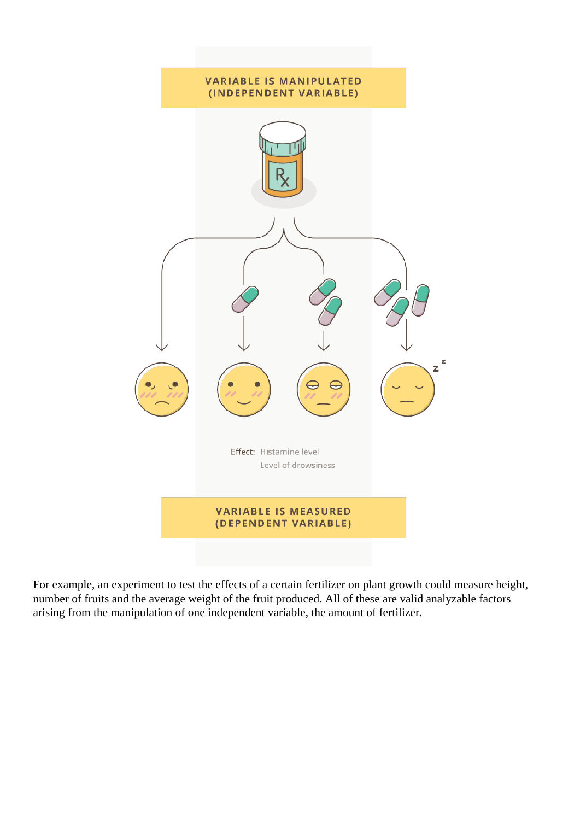

For example, an experiment to test the effects of a certain fertilizer on plant growth could measure height, number of fruits and the average weight of the fruit produced. All of these are valid analyzable factors arising from the manipulation of one independent variable, the amount of fertilizer.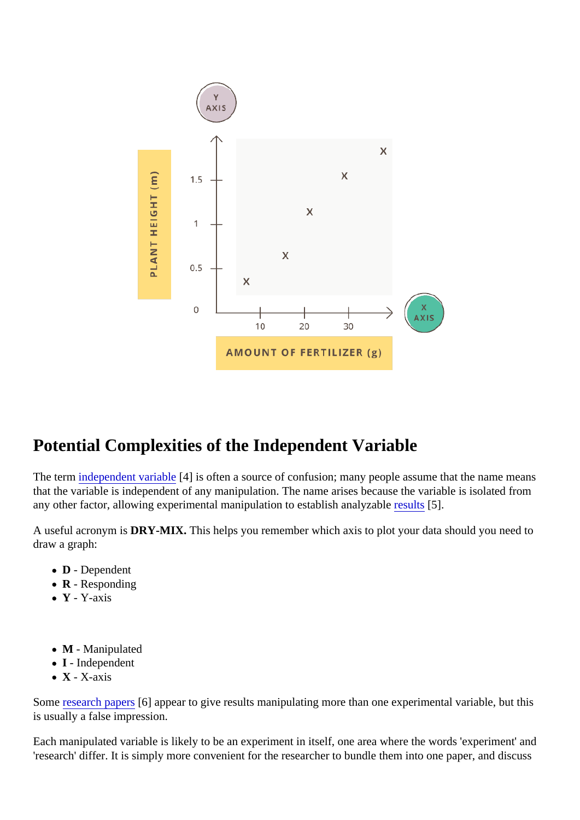## Potential Complexities of the Independent Variable

The termindependent variable] is often a source of confusion; many people assume that the name means that the variable is independent of any manipulation. The name arises because the variable is isolated from any other factor, allowing experimental manipulation to establish analyzables[5].

A useful acronym iDRY-MIX. This helps you remember which axis to plot your data should you need to draw a graph:

- D Dependent
- R Responding
- Y Y-axis
- M Manipulated
- I Independent
- X X-axis

Someresearch papet6] appear to give results manipulating more than one experimental variable, but this is usually a false impression.

Each manipulated variable is likely to be an experiment in itself, one area where the words 'experiment' ar 'research' differ. It is simply more convenient for the researcher to bundle them into one paper, and discus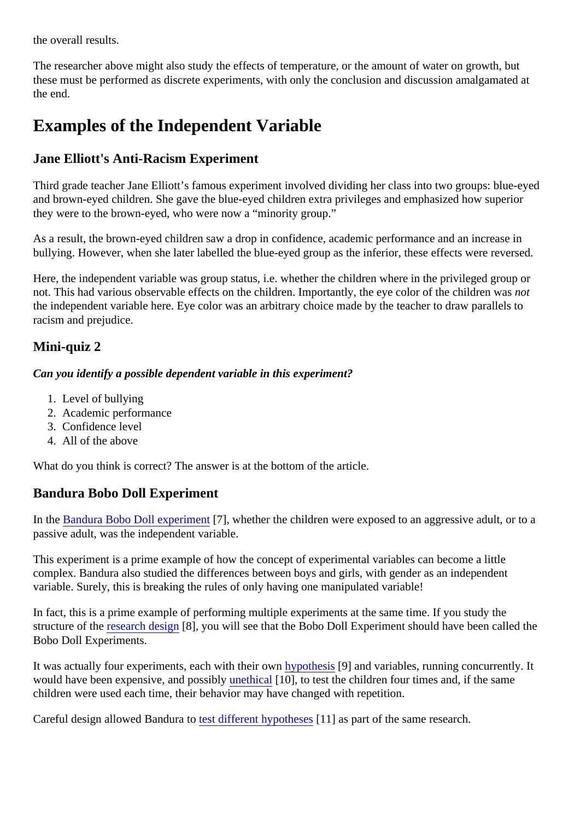the overall results.

The researcher above might also study the effects of temperature, or the amount of water on growth, but these must be performed as discrete experiments, with only the conclusion and discussion amalgamated at the end.

## Examples of the Independent Variable

### Jane Elliott's Anti-Racism Experiment

Third grade teacher Jane Elliott's famous experiment involved dividing her class into two groups: blue-eyed and brown-eyed children. She gave the blue-eyed children extra privileges and emphasized how superior they were to the brown-eyed, who were now a "minority group."

As a result, the brown-eyed children saw a drop in confidence, academic performance and an increase in bullying. However, when she later labelled the blue-eyed group as the inferior, these effects were reversed

Here, the independent variable was group status, i.e. whether the children where in the privileged group or not. This had various observable effects on the children. Importantly, the eye color of the children was the independent variable here. Eye color was an arbitrary choice made by the teacher to draw parallels to racism and prejudice.

### Mini-quiz 2

Can you identify a possible dependent variable in this experiment?

- 1. Level of bullying
- 2. Academic performance
- 3. Confidence level
- 4. All of the above

What do you think is correct? The answer is at the bottom of the article.

#### Bandura Bobo Doll Experiment

In the [Bandura Bobo Doll experime](https://verify.explorable.com/bobo-doll-experiment)nt, whether the children were exposed to an aggressive adult, or to a passive adult, was the independent variable.

This experiment is a prime example of how the concept of experimental variables can become a little complex. Bandura also studied the differences between boys and girls, with gender as an independent variable. Surely, this is breaking the rules of only having one manipulated variable!

In fact, this is a prime example of performing multiple experiments at the same time. If you study the structure of the esearch desigite], you will see that the Bobo Doll Experiment should have been called the Bobo Doll Experiments.

It was actually four experiments, each with their **owpothesis**[9] and variables, running concurrently. It would have been expensive, and possible thical [10], to test the children four times and, if the same children were used each time, their behavior may have changed with repetition.

Careful design allowed Bandurattest different hypotheset 11 as part of the same research.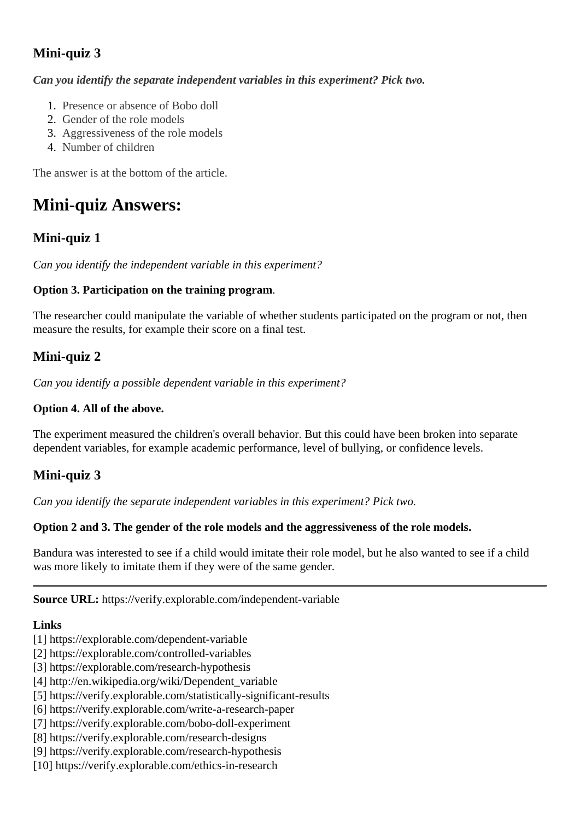### **Mini-quiz 3**

*Can you identify the separate independent variables in this experiment? Pick two.*

- 1. Presence or absence of Bobo doll
- 2. Gender of the role models
- 3. Aggressiveness of the role models
- 4. Number of children

The answer is at the bottom of the article.

# **Mini-quiz Answers:**

### **Mini-quiz 1**

*Can you identify the independent variable in this experiment?*

#### **Option 3. Participation on the training program**.

The researcher could manipulate the variable of whether students participated on the program or not, then measure the results, for example their score on a final test.

### **Mini-quiz 2**

*Can you identify a possible dependent variable in this experiment?*

### **Option 4. All of the above.**

The experiment measured the children's overall behavior. But this could have been broken into separate dependent variables, for example academic performance, level of bullying, or confidence levels.

### **Mini-quiz 3**

*Can you identify the separate independent variables in this experiment? Pick two.*

#### **Option 2 and 3. The gender of the role models and the aggressiveness of the role models.**

Bandura was interested to see if a child would imitate their role model, but he also wanted to see if a child was more likely to imitate them if they were of the same gender.

**Source URL:** https://verify.explorable.com/independent-variable

#### **Links**

- [1] https://explorable.com/dependent-variable
- [2] https://explorable.com/controlled-variables
- [3] https://explorable.com/research-hypothesis
- [4] http://en.wikipedia.org/wiki/Dependent\_variable
- [5] https://verify.explorable.com/statistically-significant-results
- [6] https://verify.explorable.com/write-a-research-paper
- [7] https://verify.explorable.com/bobo-doll-experiment
- [8] https://verify.explorable.com/research-designs
- [9] https://verify.explorable.com/research-hypothesis
- [10] https://verify.explorable.com/ethics-in-research